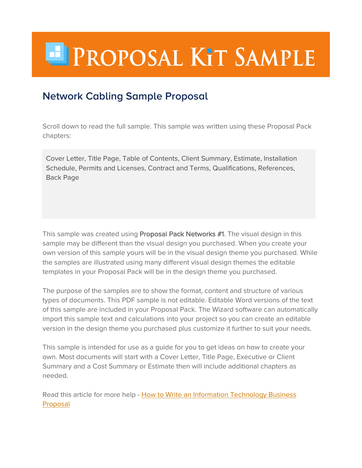# **EIPROPOSAL KIT SAMPLE**

## **Network Cabling Sample Proposal**

Scroll down to read the full sample. This sample was written using these Proposal Pack chapters:

Cover Letter, Title Page, Table of Contents, Client Summary, Estimate, Installation Schedule, Permits and Licenses, Contract and Terms, Qualifications, References, Back Page

This sample was created using Proposal Pack Networks #1. The visual design in this sample may be different than the visual design you purchased. When you create your own version of this sample yours will be in the visual design theme you purchased. While the samples are illustrated using many different visual design themes the editable templates in your Proposal Pack will be in the design theme you purchased.

The purpose of the samples are to show the format, content and structure of various types of documents. This PDF sample is not editable. Editable Word versions of the text of this sample are included in your Proposal Pack. The Wizard software can automatically import this sample text and calculations into your project so you can create an editable version in the design theme you purchased plus customize it further to suit your needs.

This sample is intended for use as a guide for you to get ideas on how to create your own. Most documents will start with a Cover Letter, Title Page, Executive or Client Summary and a Cost Summary or Estimate then will include additional chapters as needed.

Read this article for more help - [How to Write an Information Technology Business](https://www.proposalkit.com/htm/how-to-write-an-information-technology-proposal.htm)  [Proposal](https://www.proposalkit.com/htm/how-to-write-an-information-technology-proposal.htm)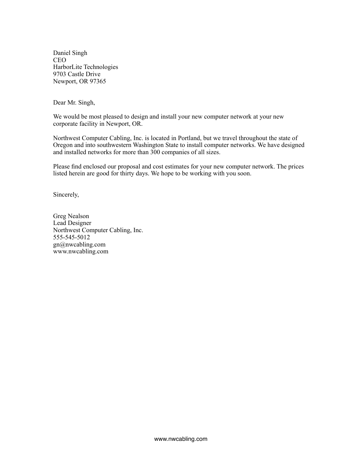Daniel Singh CEO HarborLite Technologies 9703 Castle Drive Newport, OR 97365

Dear Mr. Singh,

We would be most pleased to design and install your new computer network at your new corporate facility in Newport, OR.

Northwest Computer Cabling, Inc. is located in Portland, but we travel throughout the state of Oregon and into southwestern Washington State to install computer networks. We have designed and installed networks for more than 300 companies of all sizes.

Please find enclosed our proposal and cost estimates for your new computer network. The prices listed herein are good for thirty days. We hope to be working with you soon.

Sincerely,

Greg Nealson Lead Designer Northwest Computer Cabling, Inc. 555-545-5012 gn@nwcabling.com www.nwcabling.com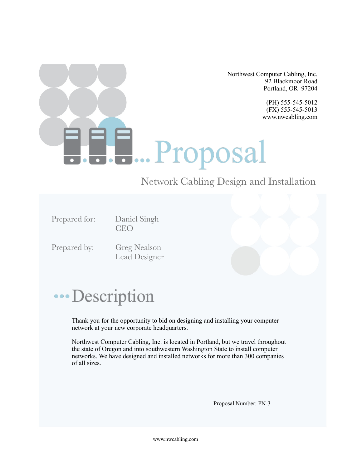Northwest Computer Cabling, Inc. 92 Blackmoor Road Portland, OR 97204

> (PH) 555-545-5012 (FX) 555-545-5013 www.nwcabling.com

# ...Proposal

Network Cabling Design and Installation

Prepared for: Daniel Singh CEO

Prepared by: Greg Nealson Lead Designer

# ••• Description

Thank you for the opportunity to bid on designing and installing your computer network at your new corporate headquarters.

Northwest Computer Cabling, Inc. is located in Portland, but we travel throughout the state of Oregon and into southwestern Washington State to install computer networks. We have designed and installed networks for more than 300 companies of all sizes.

Proposal Number: PN-3

www.nwcabling.com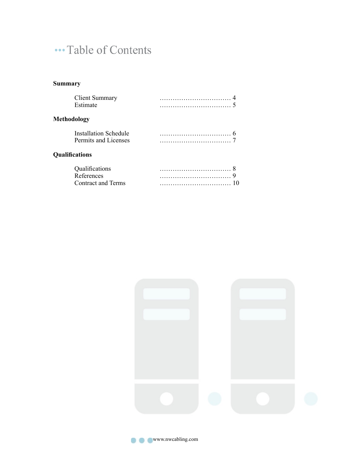# ...Table of Contents

#### **Summary**

| <b>Client Summary</b> |  |
|-----------------------|--|
| Estimate              |  |
| <b>Methodology</b>    |  |
| Installation Schedule |  |
| Permits and Licenses  |  |

#### **Qualifications**

| Qualifications            |  |
|---------------------------|--|
| References                |  |
| <b>Contract and Terms</b> |  |

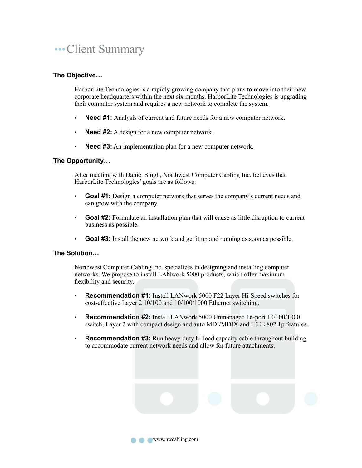# ...Client Summary

#### **The Objective…**

HarborLite Technologies is a rapidly growing company that plans to move into their new corporate headquarters within the next six months. HarborLite Technologies is upgrading their computer system and requires a new network to complete the system.

- **Need #1:** Analysis of current and future needs for a new computer network.
- **Need #2:** A design for a new computer network.
- **Need #3:** An implementation plan for a new computer network.

#### **The Opportunity…**

After meeting with Daniel Singh, Northwest Computer Cabling Inc. believes that HarborLite Technologies' goals are as follows:

- **Goal #1:** Design a computer network that serves the company's current needs and can grow with the company.
- **Goal #2:** Formulate an installation plan that will cause as little disruption to current business as possible.
- **Goal #3:** Install the new network and get it up and running as soon as possible.

#### **The Solution…**

Northwest Computer Cabling Inc. specializes in designing and installing computer networks. We propose to install LANwork 5000 products, which offer maximum flexibility and security.

- **Recommendation #1:** Install LANwork 5000 F22 Layer Hi-Speed switches for cost-effective Layer 2 10/100 and 10/100/1000 Ethernet switching.
- **Recommendation #2:** Install LANwork 5000 Unmanaged 16-port 10/100/1000 switch; Layer 2 with compact design and auto MDI/MDIX and IEEE 802.1p features.
- **Recommendation #3:** Run heavy-duty hi-load capacity cable throughout building to accommodate current network needs and allow for future attachments.



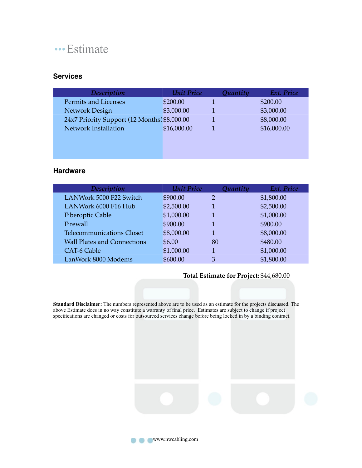# ••• Estimate

#### **Services**

| <b>Description</b>                           | <b>Unit Price</b> | Ext. Price<br>Quantity |
|----------------------------------------------|-------------------|------------------------|
| Permits and Licenses                         | \$200.00          | \$200.00               |
| Network Design                               | \$3,000.00        | \$3,000.00             |
| 24x7 Priority Support (12 Months) \$8,000.00 |                   | \$8,000.00             |
| <b>Network Installation</b>                  | \$16,000.00       | \$16,000.00            |
|                                              |                   |                        |
|                                              |                   |                        |
|                                              |                   |                        |

#### **Hardware**

| <b>Description</b>                 | <b>Unit Price</b> | Quantity       | Ext. Price |
|------------------------------------|-------------------|----------------|------------|
| LANWork 5000 F22 Switch            | \$900.00          | $\overline{2}$ | \$1,800.00 |
| LANWork 6000 F16 Hub               | \$2,500.00        |                | \$2,500.00 |
| <b>Fiberoptic Cable</b>            | \$1,000.00        |                | \$1,000.00 |
| Firewall                           | \$900.00          |                | \$900.00   |
| <b>Telecommunications Closet</b>   | \$8,000.00        |                | \$8,000.00 |
| <b>Wall Plates and Connections</b> | \$6.00            | 80             | \$480.00   |
| <b>CAT-6 Cable</b>                 | \$1,000.00        |                | \$1,000.00 |
| LanWork 8000 Modems                | \$600.00          | 3              | \$1,800.00 |
|                                    |                   |                |            |

#### **Total Estimate for Project:** \$44,680.00

**Standard Disclaimer:** The numbers represented above are to be used as an estimate for the projects discussed. The above Estimate does in no way constitute a warranty of final price. Estimates are subject to change if project specifications are changed or costs for outsourced services change before being locked in by a binding contract.



**WWW.nwcabling.com**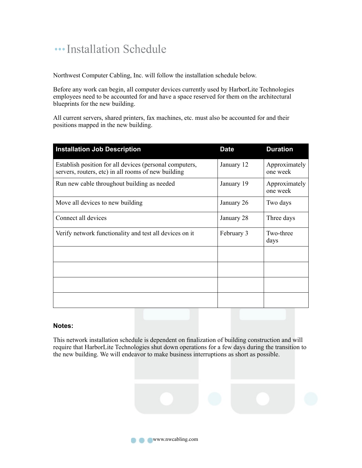# ••• Installation Schedule

Northwest Computer Cabling, Inc. will follow the installation schedule below.

Before any work can begin, all computer devices currently used by HarborLite Technologies employees need to be accounted for and have a space reserved for them on the architectural blueprints for the new building.

All current servers, shared printers, fax machines, etc. must also be accounted for and their positions mapped in the new building.

| <b>Installation Job Description</b>                                                                            | <b>Date</b> | <b>Duration</b>           |
|----------------------------------------------------------------------------------------------------------------|-------------|---------------------------|
| Establish position for all devices (personal computers,<br>servers, routers, etc) in all rooms of new building | January 12  | Approximately<br>one week |
| Run new cable throughout building as needed                                                                    | January 19  | Approximately<br>one week |
| Move all devices to new building                                                                               | January 26  | Two days                  |
| Connect all devices                                                                                            | January 28  | Three days                |
| Verify network functionality and test all devices on it                                                        | February 3  | Two-three<br>days         |
|                                                                                                                |             |                           |
|                                                                                                                |             |                           |
|                                                                                                                |             |                           |
|                                                                                                                |             |                           |

#### **Notes:**

This network installation schedule is dependent on finalization of building construction and will require that HarborLite Technologies shut down operations for a few days during the transition to the new building. We will endeavor to make business interruptions as short as possible.



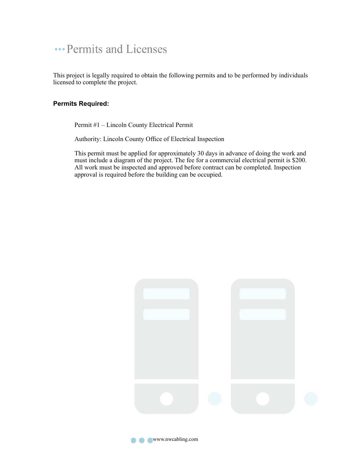# "Permits and Licenses

This project is legally required to obtain the following permits and to be performed by individuals licensed to complete the project.

#### **Permits Required:**

• Permit #1 – Lincoln County Electrical Permit

Authority: Lincoln County Office of Electrical Inspection

This permit must be applied for approximately 30 days in advance of doing the work and must include a diagram of the project. The fee for a commercial electrical permit is \$200. All work must be inspected and approved before contract can be completed. Inspection approval is required before the building can be occupied.



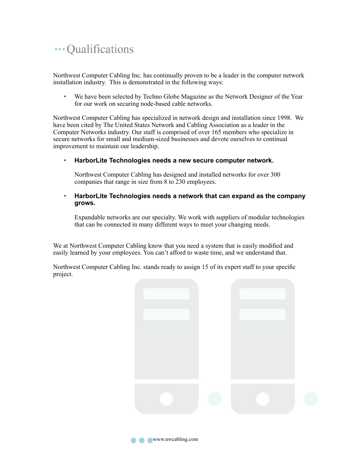# ... Qualifications

Northwest Computer Cabling Inc. has continually proven to be a leader in the computer network installation industry. This is demonstrated in the following ways:

• We have been selected by Techno Globe Magazine as the Network Designer of the Year for our work on securing node-based cable networks.

Northwest Computer Cabling has specialized in network design and installation since 1998. We have been cited by The United States Network and Cabling Association as a leader in the Computer Networks industry. Our staff is comprised of over 165 members who specialize in secure networks for small and medium-sized businesses and devote ourselves to continual improvement to maintain our leadership.

#### • **HarborLite Technologies needs a new secure computer network.**

Northwest Computer Cabling has designed and installed networks for over 300 companies that range in size from 8 to 230 employees.

#### • **HarborLite Technologies needs a network that can expand as the company grows.**

Expandable networks are our specialty. We work with suppliers of modular technologies that can be connected in many different ways to meet your changing needs.

We at Northwest Computer Cabling know that you need a system that is easily modified and easily learned by your employees. You can't afford to waste time, and we understand that.

Northwest Computer Cabling Inc. stands ready to assign 15 of its expert staff to your specific project.



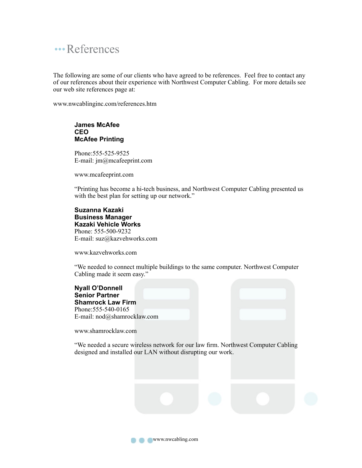## ••• References

The following are some of our clients who have agreed to be references. Feel free to contact any of our references about their experience with Northwest Computer Cabling. For more details see our web site references page at:

www.nwcablinginc.com/references.htm

• **James McAfee CEO McAfee Printing**

Phone:555-525-9525 E-mail: jm@mcafeeprint.com

www.mcafeeprint.com

"Printing has become a hi-tech business, and Northwest Computer Cabling presented us with the best plan for setting up our network."

• **Suzanna Kazaki Business Manager Kazaki Vehicle Works** Phone: 555-500-9232 E-mail: suz@kazvehworks.com

www.kazvehworks.com

"We needed to connect multiple buildings to the same computer. Northwest Computer Cabling made it seem easy."

• **Nyall O'Donnell Senior Partner Shamrock Law Firm** Phone:555-540-0165 E-mail: nod@shamrocklaw.com

www.shamrocklaw.com

"We needed a secure wireless network for our law firm. Northwest Computer Cabling designed and installed our LAN without disrupting our work.



www.nwcabling.com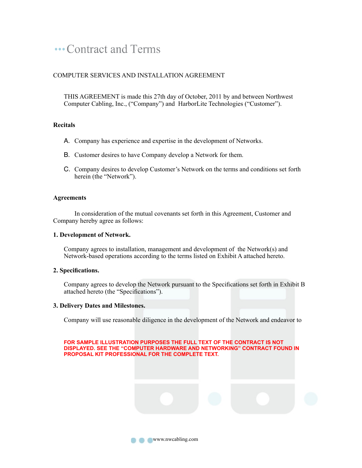# ...Contract and Terms

#### COMPUTER SERVICES AND INSTALLATION AGREEMENT

THIS AGREEMENT is made this 27th day of October, 2011 by and between Northwest Computer Cabling, Inc., ("Company") and HarborLite Technologies ("Customer").

#### **Recitals**

- A. Company has experience and expertise in the development of Networks.
- B. Customer desires to have Company develop a Network for them.
- C. Company desires to develop Customer's Network on the terms and conditions set forth herein (the "Network").

#### **Agreements**

In consideration of the mutual covenants set forth in this Agreement, Customer and Company hereby agree as follows:

#### **1. Development of Network.**

Company agrees to installation, management and development of the Network(s) and Network-based operations according to the terms listed on Exhibit A attached hereto.

#### **2. Specifications.**

Company agrees to develop the Network pursuant to the Specifications set forth in Exhibit B attached hereto (the "Specifications").

#### **3. Delivery Dates and Milestones.**

Company will use reasonable diligence in the development of the Network and endeavor to

#### **FOR SAMPLE ILLUSTRATION PURPOSES THE FULL TEXT OF THE CONTRACT IS NOT DISPLAYED. SEE THE "COMPUTER HARDWARE AND NETWORKING" CONTRACT FOUND IN PROPOSAL KIT PROFESSIONAL FOR THE COMPLETE TEXT.**

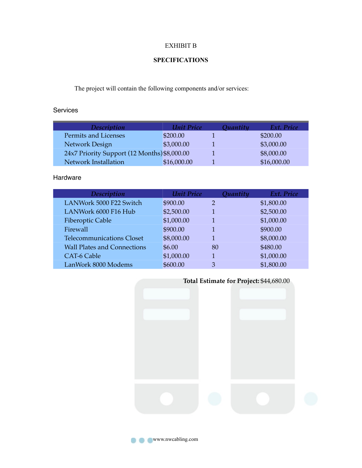#### EXHIBIT B

#### **SPECIFICATIONS**

The project will contain the following components and/or services:

#### Services

| <b>Description</b>                           | <b>Unit Price</b> | Ext. Price<br>Quantity |
|----------------------------------------------|-------------------|------------------------|
| Permits and Licenses                         | \$200.00          | \$200.00               |
| Network Design                               | \$3,000.00        | \$3,000.00             |
| 24x7 Priority Support (12 Months) \$8,000.00 |                   | \$8,000.00             |
| <b>Network Installation</b>                  | \$16,000.00       | \$16,000.00            |

Hardware

| <b>Description</b>                 | <b>Unit Price</b> | Quantity       | Ext. Price |
|------------------------------------|-------------------|----------------|------------|
| LANWork 5000 F22 Switch            | \$900.00          | $\overline{2}$ | \$1,800.00 |
| LANWork 6000 F16 Hub               | \$2,500.00        |                | \$2,500.00 |
| <b>Fiberoptic Cable</b>            | \$1,000.00        | 1              | \$1,000.00 |
| Firewall                           | \$900.00          |                | \$900.00   |
| <b>Telecommunications Closet</b>   | \$8,000.00        | 1              | \$8,000.00 |
| <b>Wall Plates and Connections</b> | \$6.00            | 80             | \$480.00   |
| <b>CAT-6 Cable</b>                 | \$1,000.00        |                | \$1,000.00 |
| LanWork 8000 Modems                | \$600.00          | 3              | \$1,800.00 |



www.nwcabling.com